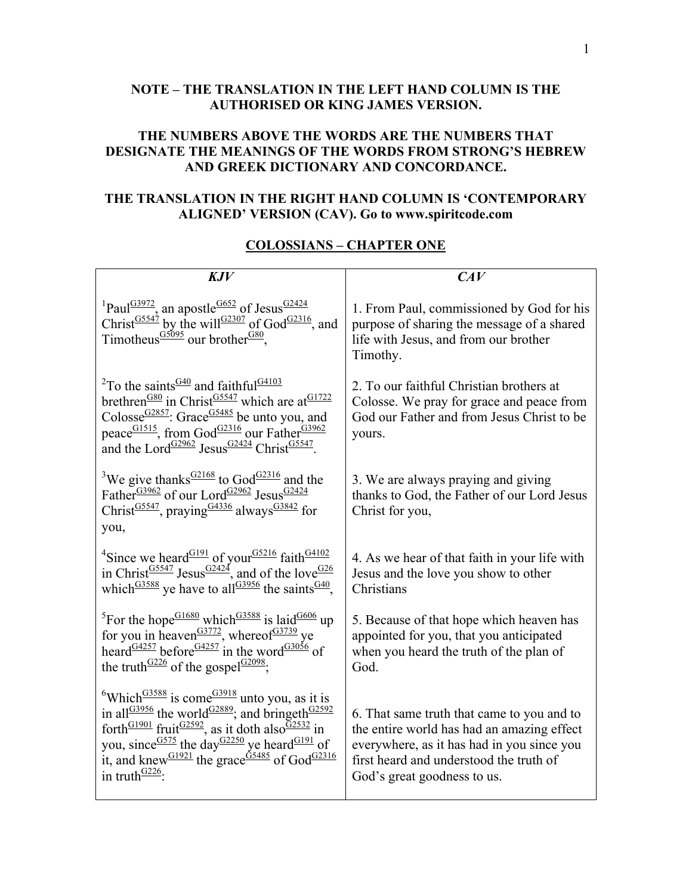## **NOTE – THE TRANSLATION IN THE LEFT HAND COLUMN IS THE AUTHORISED OR KING JAMES VERSION.**

## **THE NUMBERS ABOVE THE WORDS ARE THE NUMBERS THAT DESIGNATE THE MEANINGS OF THE WORDS FROM STRONG'S HEBREW AND GREEK DICTIONARY AND CONCORDANCE.**

# **THE TRANSLATION IN THE RIGHT HAND COLUMN IS 'CONTEMPORARY ALIGNED' VERSION (CAV). Go to www.spiritcode.com**

#### **COLOSSIANS – CHAPTER ONE**

| KJV                                                                                                                                                                                                                                                                                                                                                                                                                                                               | CAV                                                                                                                                                                                                              |
|-------------------------------------------------------------------------------------------------------------------------------------------------------------------------------------------------------------------------------------------------------------------------------------------------------------------------------------------------------------------------------------------------------------------------------------------------------------------|------------------------------------------------------------------------------------------------------------------------------------------------------------------------------------------------------------------|
| <sup>1</sup> Paul <sup>G3972</sup> , an apostle <sup>G652</sup> of Jesus <sup>G2424</sup><br>Christ <sup>G5547</sup> by the will <sup>G2307</sup> of God <sup>G2316</sup> , and<br>Timotheus $\frac{G5095}{G}$ our brother $\frac{G80}{G}$ ,                                                                                                                                                                                                                      | 1. From Paul, commissioned by God for his<br>purpose of sharing the message of a shared<br>life with Jesus, and from our brother<br>Timothy.                                                                     |
| <sup>2</sup> To the saints $\frac{G40}{G}$ and faithful $\frac{G4103}{G}$<br>brethren <sup>G80</sup> in Christ <sup>G5547</sup> which are at $61722$<br>Colosse $\frac{G2857}{ }$ : Grace $\frac{G5485}{ }$ be unto you, and<br>peace <sup>G1515</sup> , from God <sup>G2316</sup> our Father <sup>G3962</sup><br>and the Lord <sup>G2962</sup> Jesus <sup>G2424</sup> Christ <sup>G5547</sup> .                                                                  | 2. To our faithful Christian brothers at<br>Colosse. We pray for grace and peace from<br>God our Father and from Jesus Christ to be<br>yours.                                                                    |
| <sup>3</sup> We give thanks $\frac{G2168}{G}$ to God <sup>G2316</sup> and the<br>Father <sup>G3962</sup> of our Lord <sup>G2962</sup> Jesus <sup>G2424</sup><br>Christ <sup>G5547</sup> , praying $\frac{G4336}{G}$ always <sup>G3842</sup> for<br>you,                                                                                                                                                                                                           | 3. We are always praying and giving<br>thanks to God, the Father of our Lord Jesus<br>Christ for you,                                                                                                            |
| <sup>4</sup> Since we heard <sup>G191</sup> of your <sup>G5216</sup> faith <sup>G4102</sup><br>in Christ <sup>G5547</sup> Jesus <sup>G2424</sup> , and of the love <sup>G26</sup><br>which <sup><math>\frac{G3588}{ }</math></sup> ye have to all $\frac{G3956}{ }$ the saints $\frac{G40}{ }$ ,                                                                                                                                                                  | 4. As we hear of that faith in your life with<br>Jesus and the love you show to other<br>Christians                                                                                                              |
| <sup>5</sup> For the hope <sup>G1680</sup> which <sup>G3588</sup> is laid <sup>G606</sup> up<br>for you in heaven <sup>G3772</sup> , whereof <sup>G3739</sup> ye<br>heard <sup>G4257</sup> before <sup>G4257</sup> in the word <sup>G3056</sup> of<br>the truth <sup><math>G226</math></sup> of the gospel $G2098$ ;                                                                                                                                              | 5. Because of that hope which heaven has<br>appointed for you, that you anticipated<br>when you heard the truth of the plan of<br>God.                                                                           |
| <sup>6</sup> Which <sup>G3588</sup> is come $G3918$ unto you, as it is<br>in all <sup>G3956</sup> the world <sup>G2889</sup> ; and bringeth <sup>G2592</sup><br>forth $\frac{G1901}{F}$ fruit $\frac{G2592}{F}$ , as it doth also $\frac{G2532}{F}$ in<br>you, since $\frac{G575}{G}$ the day $\frac{G2250}{G}$ ye heard $\frac{G191}{G}$ of<br>it, and knew $\frac{G1921}{2}$ the grace $\frac{G5485}{2}$ of God <sup>G2316</sup><br>in truth $\frac{G226}{G}$ : | 6. That same truth that came to you and to<br>the entire world has had an amazing effect<br>everywhere, as it has had in you since you<br>first heard and understood the truth of<br>God's great goodness to us. |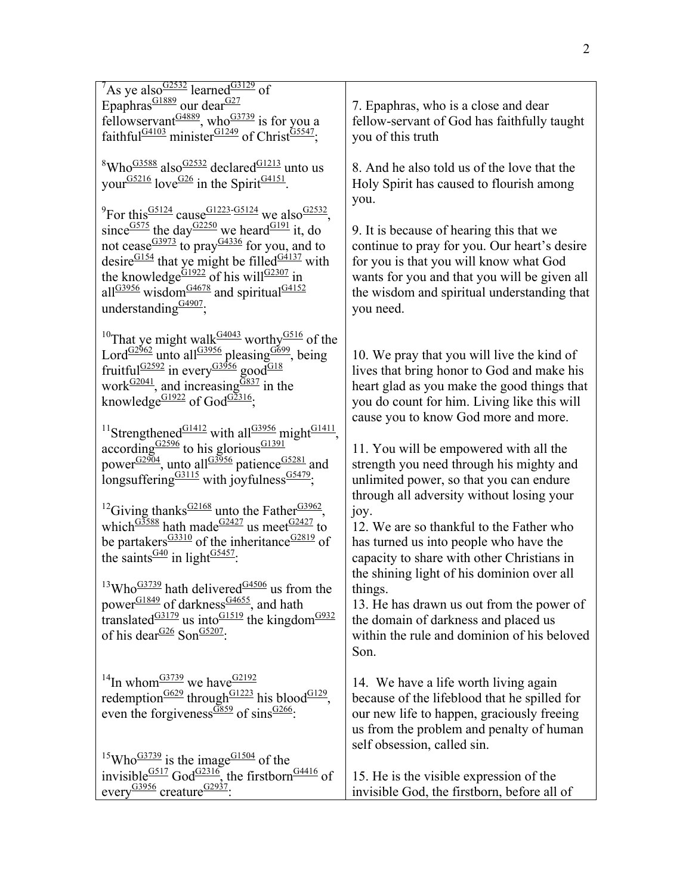| $7$ As ye also $\frac{G2532}{2}$ learned $\frac{G3129}{2}$ of<br>Epaphras <sup>G1889</sup> our dear <sup>G27</sup><br>fellowservant <sup><math>G4889</math></sup> , who $G3739$ is for you a<br>faithful <sup>G4103</sup> minister <sup>G1249</sup> of Christ <sup>G5547</sup> ;                                                                                                                                                                                                             | 7. Epaphras, who is a close and dear<br>fellow-servant of God has faithfully taught<br>you of this truth                                                                                                                                       |
|----------------------------------------------------------------------------------------------------------------------------------------------------------------------------------------------------------------------------------------------------------------------------------------------------------------------------------------------------------------------------------------------------------------------------------------------------------------------------------------------|------------------------------------------------------------------------------------------------------------------------------------------------------------------------------------------------------------------------------------------------|
| <sup>8</sup> Who <sup>G3588</sup> also $G2532$ declared $G1213$ unto us<br>your <sup>G5216</sup> love <sup>G26</sup> in the Spirit <sup>G4151</sup> .                                                                                                                                                                                                                                                                                                                                        | 8. And he also told us of the love that the<br>Holy Spirit has caused to flourish among<br>you.                                                                                                                                                |
| <sup>9</sup> For this $\frac{G5124}{G}$ cause $\frac{G1223 - G5124}{G}$ we also $\frac{G2532}{G}$ .<br>since $\frac{G575}{G}$ the day $\frac{G2250}{G}$ we heard $\frac{G191}{G}$ it, do<br>not cease $\frac{G3973}{G}$ to pray $\frac{G4336}{G}$ for you, and to<br>desire $\frac{G154}{H}$ that ye might be filled $\frac{G4137}{H}$ with<br>the knowledge $\frac{G1922}{G192}$ of his will $\frac{G2307}{G1921}$ in all $\frac{G3956}{G1921}$ wisdom<br>understanding $\frac{G4907}{G}$ ; | 9. It is because of hearing this that we<br>continue to pray for you. Our heart's desire<br>for you is that you will know what God<br>wants for you and that you will be given all<br>the wisdom and spiritual understanding that<br>you need. |
| <sup>10</sup> That ye might walk <sup>G4043</sup> worthy <sup>G516</sup> of the<br>Lord <sup>G2962</sup> unto all <sup>G3956</sup> pleasing 6699, being<br>fruitful <sup>G2592</sup> in every $\frac{G3956}{900d^{G18}}$<br>work $\frac{G2041}{2}$ , and increasing $\frac{G837}{2}$ in the knowledge <sup>G1922</sup> of God <sup>G2316</sup> ;                                                                                                                                             | 10. We pray that you will live the kind of<br>lives that bring honor to God and make his<br>heart glad as you make the good things that<br>you do count for him. Living like this will<br>cause you to know God more and more.                 |
| <sup>11</sup> Strengthened <sup>G1412</sup> with all <sup>G3956</sup> might <sup>G1411</sup> ,<br>$according_{G2596}^{G2596}$ to his glorious <sup>G1391</sup><br>power $\frac{G2904}{g}$ , unto all $\frac{G3956}{g}$ patience $\frac{G5281}{g}$ and<br>longsuffering $\frac{G3115}{S}$ with joyfulness $\frac{G5479}{S}$ ;                                                                                                                                                                 | 11. You will be empowered with all the<br>strength you need through his mighty and<br>unlimited power, so that you can endure                                                                                                                  |
| <sup>12</sup> Giving thanks <sup>G2168</sup> unto the Father <sup>G3962</sup> ,<br>which $\frac{G3588}{G2427}$ us meet $\frac{G2427}{G2427}$ to<br>be partakers $\frac{G3310}{2}$ of the inheritance $\frac{G2819}{2}$ of<br>the saints $\frac{G40}{G}$ in light $\frac{G5457}{G}$ .                                                                                                                                                                                                         | through all adversity without losing your<br>joy.<br>12. We are so thankful to the Father who<br>has turned us into people who have the<br>capacity to share with other Christians in<br>the shining light of his dominion over all            |
| <sup>13</sup> Who <sup>G3739</sup> hath delivered <sup>G4506</sup> us from the<br>power $\frac{G1849}{ }$ of darkness $\frac{G4655}{ }$ , and hath<br>translated $\frac{G3179}{ }$ us into $\frac{G1519}{ }$ the kingdom $\frac{G932}{ }$<br>of his dear $\frac{G26}{G}$ Son $\frac{G5207}{G}$ :                                                                                                                                                                                             | things.<br>13. He has drawn us out from the power of<br>the domain of darkness and placed us<br>within the rule and dominion of his beloved<br>Son.                                                                                            |
| <sup>14</sup> In whom <sup>G3739</sup> we have <sup>G2192</sup><br>redemption <sup>G629</sup> through <sup>G1223</sup> his blood <sup>G129</sup> ,<br>even the forgiveness $\frac{G859}{G859}$ of sins $\frac{G266}{G859}$ .                                                                                                                                                                                                                                                                 | 14. We have a life worth living again<br>because of the lifeblood that he spilled for<br>our new life to happen, graciously freeing<br>us from the problem and penalty of human<br>self obsession, called sin.                                 |
| <sup>15</sup> Who <sup>G3739</sup> is the image <sup>G1504</sup> of the<br>invisible $\frac{G517}{G}$ God $\frac{G2316}{G}$ , the firstborn $\frac{G4416}{G}$ of<br>every $\frac{G3956}{C}$ creature $\frac{G2937}{C}$ .                                                                                                                                                                                                                                                                     | 15. He is the visible expression of the<br>invisible God, the firstborn, before all of                                                                                                                                                         |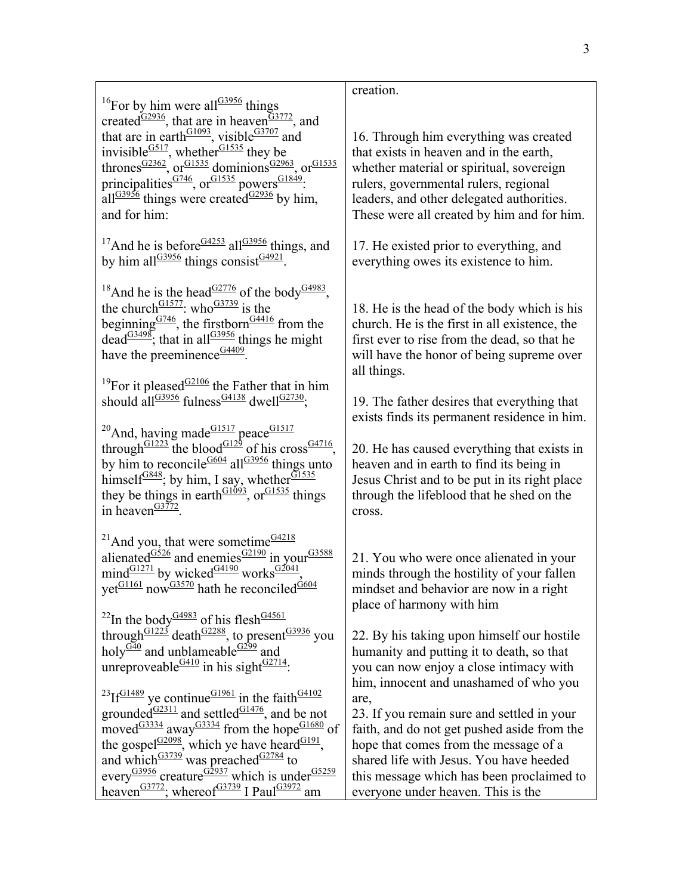3

 $16$ For by him were all $\frac{G3956}{G}$  things created $\frac{G2936}{}$ , that are in heaven $\frac{G3772}{}$ , and that are in earth $\frac{G1093}{G100}$ , visible  $\frac{G3707}{G100}$  and invisible $\frac{G517}{G}$ , whether $\frac{G1535}{G}$  they be thrones $\frac{G2362}{G}$ , or $\frac{G1535}{G}$  dominions $\frac{G2963}{G}$ , or $\frac{G1535}{G}$ principalities $\frac{G746}{G1535}$  powers $\frac{G1849}{G15}$ : all $\frac{G3956}{G}$  things were created $\frac{G2936}{G}$  by him, and for him:

<sup>17</sup>And he is before  $G4253$  all  $G3956$  things, and by him all $\frac{G3956}{H}$  things consist $\frac{G4921}{H}$ .

<sup>18</sup>And he is the head<sup>G2776</sup> of the body<sup>G4983</sup>, the church $\frac{G1577}{G1571}$ : who  $\frac{G3739}{G15}$  is the beginning  $\frac{G746}{G}$ , the firstborn<sup>G4416</sup> from the dead $\frac{G3498}{H}$ ; that in all $\frac{G3956}{H}$  things he might have the preeminence  $\frac{G4409}{2}$ .

<sup>19</sup>For it pleased $\frac{G2106}{G}$  the Father that in him should all $\frac{G3956}{G}$  fulness $\frac{G4138}{G}$  dwell $\frac{G2730}{G}$ ;

 $^{20}$ And, having made $^{G1517}$  peace $^{G1517}$ through<sup>G1223</sup> the blood<sup>G129</sup> of his cross<sup>G4716</sup>, by him to reconcile  $\frac{G604}{G}$  all  $\frac{G3956}{G}$  things unto himself $\frac{G848}{G1535}$ ; by him, I say, whether $\frac{G1535}{G1535}$ they be things in earth $\frac{G1093}{G1535}$ , or  $\frac{G1535}{G1535}$  things in heaven $\frac{G3772}{G}$ 

<sup>21</sup>And you, that were sometime $G4218$ alienated $\frac{G526}{G}$  and enemies $\frac{G2190}{G}$  in your $\frac{G3588}{G}$ mind $\frac{G1271}{G1271}$  by wicked $\frac{G4190}{G127}$  works $\frac{G2041}{G17}$ , yet $\frac{G1161}{H}$  now $\frac{G3570}{H}$  hath he reconciled $\frac{\dot{G}604}{H}$ 

<sup>22</sup>In the body<sup>G4983</sup> of his flesh<sup>G4561</sup> through<sup>G1223</sup> death<sup>G2288</sup>, to present<sup>G3936</sup> you holy $\frac{G\bar{40}}{40}$  and unblameable $\frac{G299}{400}$  and unreproveable  $\frac{G410}{G}$  in his sight $\frac{G2714}{G}$ :

 $^{23}$ If<sup>G1489</sup> ye continue<sup>G1961</sup> in the faith<sup>G4102</sup> grounded $\frac{G2311}{}$  and settled $\frac{G1476}{}$ , and be not moved $\frac{G33334}{4}$  away $\frac{G33334}{4}$  from the hope $\frac{G1680}{4}$  of the gospel $\frac{G2098}{G}$ , which ye have heard  $\frac{G191}{G}$ , and which  $\frac{G3739}{9}$  was preached  $\frac{G2784}{9}$  to every $\frac{G3956}{G3956}$  creature $\frac{G2937}{G3956}$  which is under  $\frac{G5259}{G3956}$ heaven<sup>G3772</sup>; whereof<sup>G3739</sup> I Paul<sup>G3972</sup> am

# creation.

16. Through him everything was created that exists in heaven and in the earth, whether material or spiritual, sovereign rulers, governmental rulers, regional leaders, and other delegated authorities. These were all created by him and for him.

17. He existed prior to everything, and everything owes its existence to him.

18. He is the head of the body which is his church. He is the first in all existence, the first ever to rise from the dead, so that he will have the honor of being supreme over all things.

19. The father desires that everything that exists finds its permanent residence in him.

20. He has caused everything that exists in heaven and in earth to find its being in Jesus Christ and to be put in its right place through the lifeblood that he shed on the cross.

21. You who were once alienated in your minds through the hostility of your fallen mindset and behavior are now in a right place of harmony with him

22. By his taking upon himself our hostile humanity and putting it to death, so that you can now enjoy a close intimacy with him, innocent and unashamed of who you are,

23. If you remain sure and settled in your faith, and do not get pushed aside from the hope that comes from the message of a shared life with Jesus. You have heeded this message which has been proclaimed to everyone under heaven. This is the